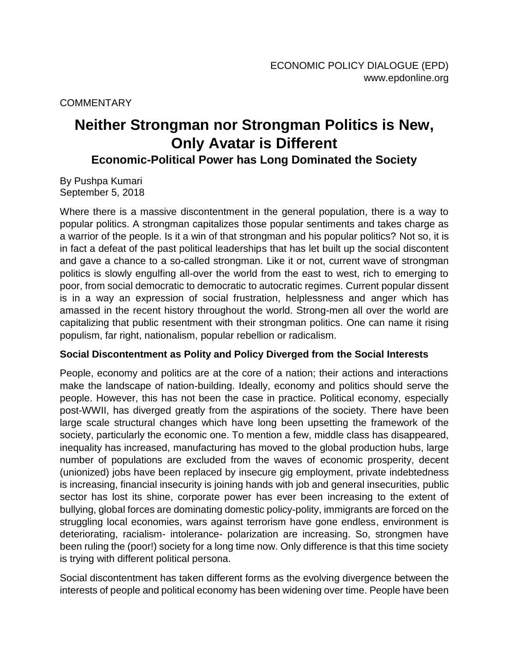**COMMENTARY** 

# **Neither Strongman nor Strongman Politics is New, Only Avatar is Different**

**Economic-Political Power has Long Dominated the Society**

By Pushpa Kumari September 5, 2018

Where there is a massive discontentment in the general population, there is a way to popular politics. A strongman capitalizes those popular sentiments and takes charge as a warrior of the people. Is it a win of that strongman and his popular politics? Not so, it is in fact a defeat of the past political leaderships that has let built up the social discontent and gave a chance to a so-called strongman. Like it or not, current wave of strongman politics is slowly engulfing all-over the world from the east to west, rich to emerging to poor, from social democratic to democratic to autocratic regimes. Current popular dissent is in a way an expression of social frustration, helplessness and anger which has amassed in the recent history throughout the world. Strong-men all over the world are capitalizing that public resentment with their strongman politics. One can name it rising populism, far right, nationalism, popular rebellion or radicalism.

### **Social Discontentment as Polity and Policy Diverged from the Social Interests**

People, economy and politics are at the core of a nation; their actions and interactions make the landscape of nation-building. Ideally, economy and politics should serve the people. However, this has not been the case in practice. Political economy, especially post-WWII, has diverged greatly from the aspirations of the society. There have been large scale structural changes which have long been upsetting the framework of the society, particularly the economic one. To mention a few, middle class has disappeared, inequality has increased, manufacturing has moved to the global production hubs, large number of populations are excluded from the waves of economic prosperity, decent (unionized) jobs have been replaced by insecure gig employment, private indebtedness is increasing, financial insecurity is joining hands with job and general insecurities, public sector has lost its shine, corporate power has ever been increasing to the extent of bullying, global forces are dominating domestic policy-polity, immigrants are forced on the struggling local economies, wars against terrorism have gone endless, environment is deteriorating, racialism- intolerance- polarization are increasing. So, strongmen have been ruling the (poor!) society for a long time now. Only difference is that this time society is trying with different political persona.

Social discontentment has taken different forms as the evolving divergence between the interests of people and political economy has been widening over time. People have been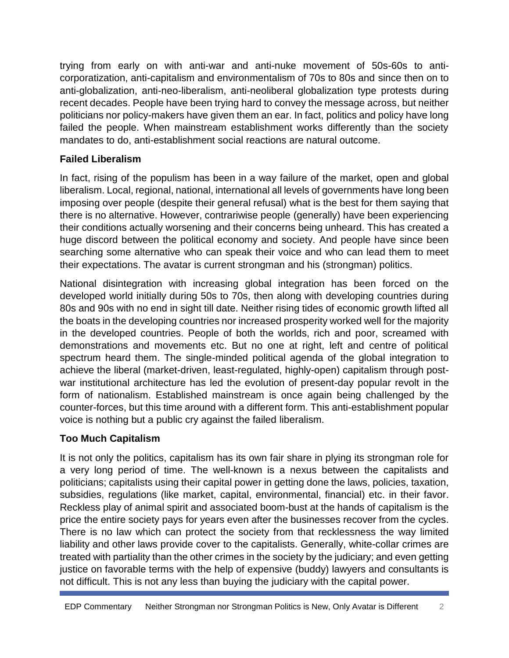trying from early on with anti-war and anti-nuke movement of 50s-60s to anti corporatization, anti-capitalism and environmentalism of 70s to 80s and since then on to anti-globalization, anti-neo-liberalism, anti-neoliberal globalization type protests during recent decades. People have been trying hard to convey the message across, but neither politicians nor policy-makers have given them an ear. In fact, politics and policy have long failed the people. When mainstream establishment works differently than the society mandates to do, anti-establishment social reactions are natural outcome.

## **Failed Liberalism**

In fact, rising of the populism has been in a way failure of the market, open and global liberalism. Local, regional, national, international all levels of governments have long been imposing over people (despite their general refusal) what is the best for them saying that there is no alternative. However, contrariwise people (generally) have been experiencing their conditions actually worsening and their concerns being unheard. This has created a huge discord between the political economy and society. And people have since been searching some alternative who can speak their voice and who can lead them to meet their expectations. The avatar is current strongman and his (strongman) politics.

National disintegration with increasing global integration has been forced on the developed world initially during 50s to 70s, then along with developing countries during 80s and 90s with no end in sight till date. Neither rising tides of economic growth lifted all the boats in the developing countries nor increased prosperity worked well for the majority in the developed countries. People of both the worlds, rich and poor, screamed with demonstrations and movements etc. But no one at right, left and centre of political spectrum heard them. The single-minded political agenda of the global integration to achieve the liberal (market-driven, least-regulated, highly-open) capitalism through post war institutional architecture has led the evolution of present-day popular revolt in the form of nationalism. Established mainstream is once again being challenged by the counter-forces, but this time around with a different form. This anti-establishment popular voice is nothing but a public cry against the failed liberalism.

# **Too Much Capitalism**

It is not only the politics, capitalism has its own fair share in plying its strongman role for a very long period of time. The well-known is a nexus between the capitalists and politicians; capitalists using their capital power in getting done the laws, policies, taxation, subsidies, regulations (like market, capital, environmental, financial) etc. in their favor. Reckless play of animal spirit and associated boom-bust at the hands of capitalism is the price the entire society pays for years even after the businesses recover from the cycles. There is no law which can protect the society from that recklessness the way limited liability and other laws provide cover to the capitalists. Generally, white-collar crimes are treated with partiality than the other crimes in the society by the judiciary; and even getting justice on favorable terms with the help of expensive (buddy) lawyers and consultants is not difficult. This is not any less than buying the judiciary with the capital power.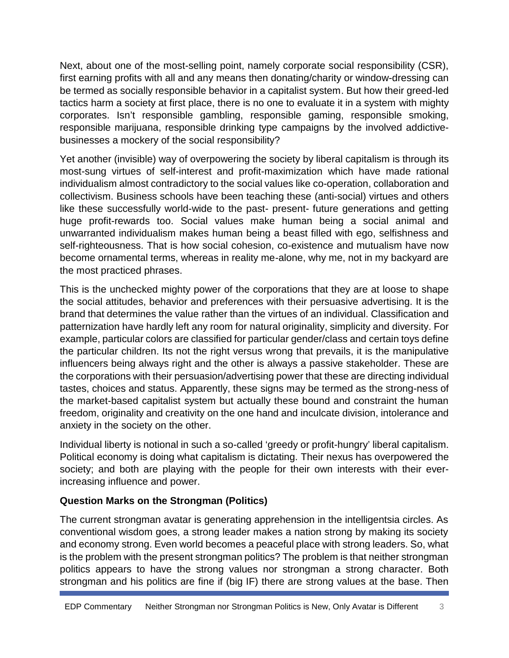Next, about one of the most-selling point, namely corporate social responsibility (CSR), first earning profits with all and any means then donating/charity or window-dressing can be termed as socially responsible behavior in a capitalist system. But how their greed-led tactics harm a society at first place, there is no one to evaluate it in a system with mighty corporates. Isn't responsible gambling, responsible gaming, responsible smoking, responsible marijuana, responsible drinking type campaigns by the involved addictive businesses a mockery of the social responsibility?

Yet another (invisible) way of overpowering the society by liberal capitalism is through its most-sung virtues of self-interest and profit-maximization which have made rational individualism almost contradictory to the social values like co-operation, collaboration and collectivism. Business schools have been teaching these (anti-social) virtues and others like these successfully world-wide to the past- present- future generations and getting huge profit-rewards too. Social values make human being a social animal and unwarranted individualism makes human being a beast filled with ego, selfishness and self-righteousness. That is how social cohesion, co-existence and mutualism have now become ornamental terms, whereas in reality me-alone, why me, not in my backyard are the most practiced phrases.

This is the unchecked mighty power of the corporations that they are at loose to shape the social attitudes, behavior and preferences with their persuasive advertising. It is the brand that determines the value rather than the virtues of an individual. Classification and patternization have hardly left any room for natural originality, simplicity and diversity. For example, particular colors are classified for particular gender/class and certain toys define the particular children. Its not the right versus wrong that prevails, it is the manipulative influencers being always right and the other is always a passive stakeholder. These are the corporations with their persuasion/advertising power that these are directing individual tastes, choices and status. Apparently, these signs may be termed as the strong-ness of the market-based capitalist system but actually these bound and constraint the human freedom, originality and creativity on the one hand and inculcate division, intolerance and anxiety in the society on the other.

Individual liberty is notional in such a so-called 'greedy or profit-hungry' liberal capitalism. Political economy is doing what capitalism is dictating. Their nexus has overpowered the society; and both are playing with the people for their own interests with their everincreasing influence and power.

### **Question Marks on the Strongman (Politics)**

The current strongman avatar is generating apprehension in the intelligentsia circles. As conventional wisdom goes, a strong leader makes a nation strong by making its society and economy strong. Even world becomes a peaceful place with strong leaders. So, what is the problem with the present strongman politics? The problem is that neither strongman politics appears to have the strong values nor strongman a strong character. Both strongman and his politics are fine if (big IF) there are strong values at the base. Then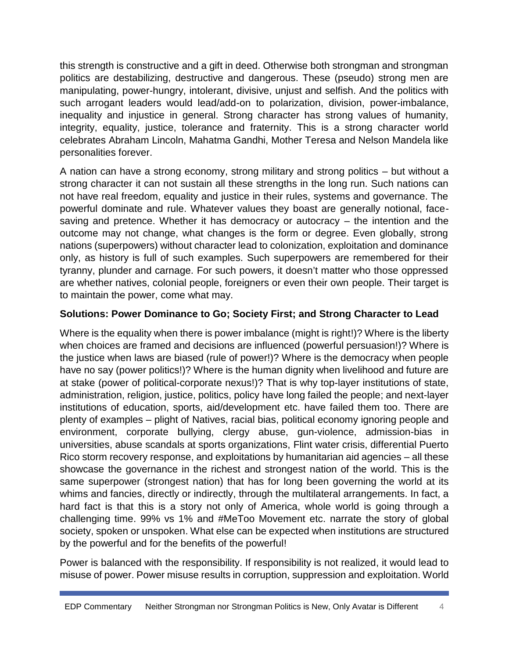this strength is constructive and a gift in deed. Otherwise both strongman and strongman politics are destabilizing, destructive and dangerous. These (pseudo) strong men are manipulating, power-hungry, intolerant, divisive, unjust and selfish. And the politics with such arrogant leaders would lead/add-on to polarization, division, power-imbalance, inequality and injustice in general. Strong character has strong values of humanity, integrity, equality, justice, tolerance and fraternity. This is a strong character world celebrates Abraham Lincoln, Mahatma Gandhi, Mother Teresa and Nelson Mandela like personalities forever.

A nation can have a strong economy, strong military and strong politics – but without a strong character it can not sustain all these strengths in the long run. Such nations can not have real freedom, equality and justice in their rules, systems and governance. The powerful dominate and rule. Whatever values they boast are generally notional, face saving and pretence. Whether it has democracy or autocracy – the intention and the outcome may not change, what changes is the form or degree. Even globally, strong nations (superpowers) without character lead to colonization, exploitation and dominance only, as history is full of such examples. Such superpowers are remembered for their tyranny, plunder and carnage. For such powers, it doesn't matter who those oppressed are whether natives, colonial people, foreigners or even their own people. Their target is to maintain the power, come what may.

## **Solutions: Power Dominance to Go; Society First; and Strong Character to Lead**

Where is the equality when there is power imbalance (might is right!)? Where is the liberty when choices are framed and decisions are influenced (powerful persuasion!)? Where is the justice when laws are biased (rule of power!)? Where is the democracy when people have no say (power politics!)? Where is the human dignity when livelihood and future are at stake (power of political-corporate nexus!)? That is why top-layer institutions of state, administration, religion, justice, politics, policy have long failed the people; and next-layer institutions of education, sports, aid/development etc. have failed them too. There are plenty of examples – plight of Natives, racial bias, political economy ignoring people and environment, corporate bullying, clergy abuse, gun-violence, admission-bias in universities, abuse scandals at sports organizations, Flint water crisis, differential Puerto Rico storm recovery response, and exploitations by humanitarian aid agencies  $-$  all these showcase the governance in the richest and strongest nation of the world. This is the same superpower (strongest nation) that has for long been governing the world at its whims and fancies, directly or indirectly, through the multilateral arrangements. In fact, a hard fact is that this is a story not only of America, whole world is going through a challenging time. 99% vs 1% and #MeToo Movement etc. narrate the story of global society, spoken or unspoken. What else can be expected when institutions are structured by the powerful and for the benefits of the powerful!

Power is balanced with the responsibility. If responsibility is not realized, it would lead to misuse of power. Power misuse results in corruption, suppression and exploitation. World